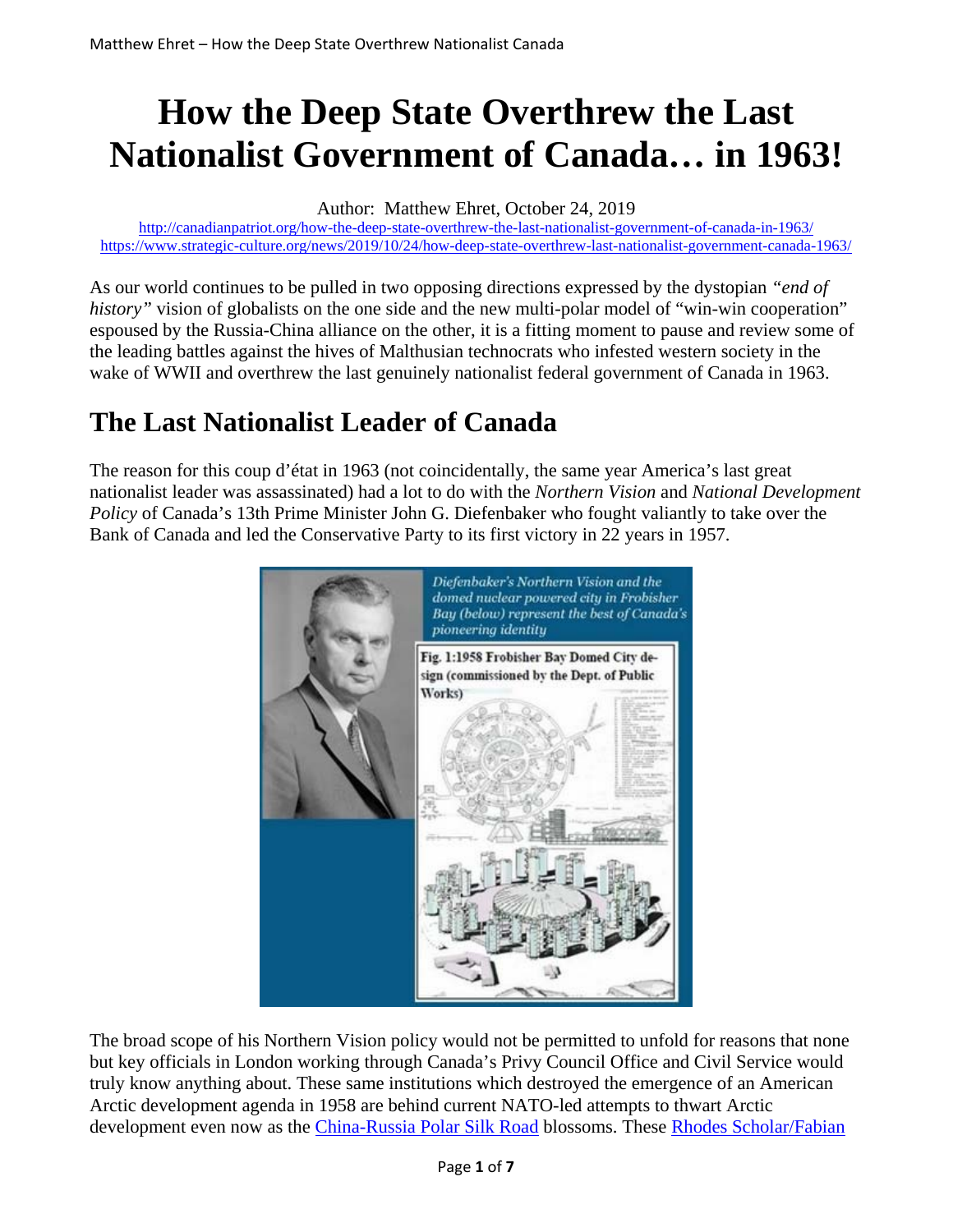# **How the Deep State Overthrew the Last Nationalist Government of Canada… in 1963!**

Author: Matthew Ehret, October 24, 2019

http://canadianpatriot.org/how-the-deep-state-overthrew-the-last-nationalist-government-of-canada-in-1963/ https://www.strategic-culture.org/news/2019/10/24/how-deep-state-overthrew-last-nationalist-government-canada-1963/

As our world continues to be pulled in two opposing directions expressed by the dystopian *"end of history*" vision of globalists on the one side and the new multi-polar model of "win-win cooperation" espoused by the Russia-China alliance on the other, it is a fitting moment to pause and review some of the leading battles against the hives of Malthusian technocrats who infested western society in the wake of WWII and overthrew the last genuinely nationalist federal government of Canada in 1963.

#### **The Last Nationalist Leader of Canada**

The reason for this coup d'état in 1963 (not coincidentally, the same year America's last great nationalist leader was assassinated) had a lot to do with the *Northern Vision* and *National Development Policy* of Canada's 13th Prime Minister John G. Diefenbaker who fought valiantly to take over the Bank of Canada and led the Conservative Party to its first victory in 22 years in 1957.



The broad scope of his Northern Vision policy would not be permitted to unfold for reasons that none but key officials in London working through Canada's Privy Council Office and Civil Service would truly know anything about. These same institutions which destroyed the emergence of an American Arctic development agenda in 1958 are behind current NATO-led attempts to thwart Arctic development even now as the China-Russia Polar Silk Road blossoms. These Rhodes Scholar/Fabian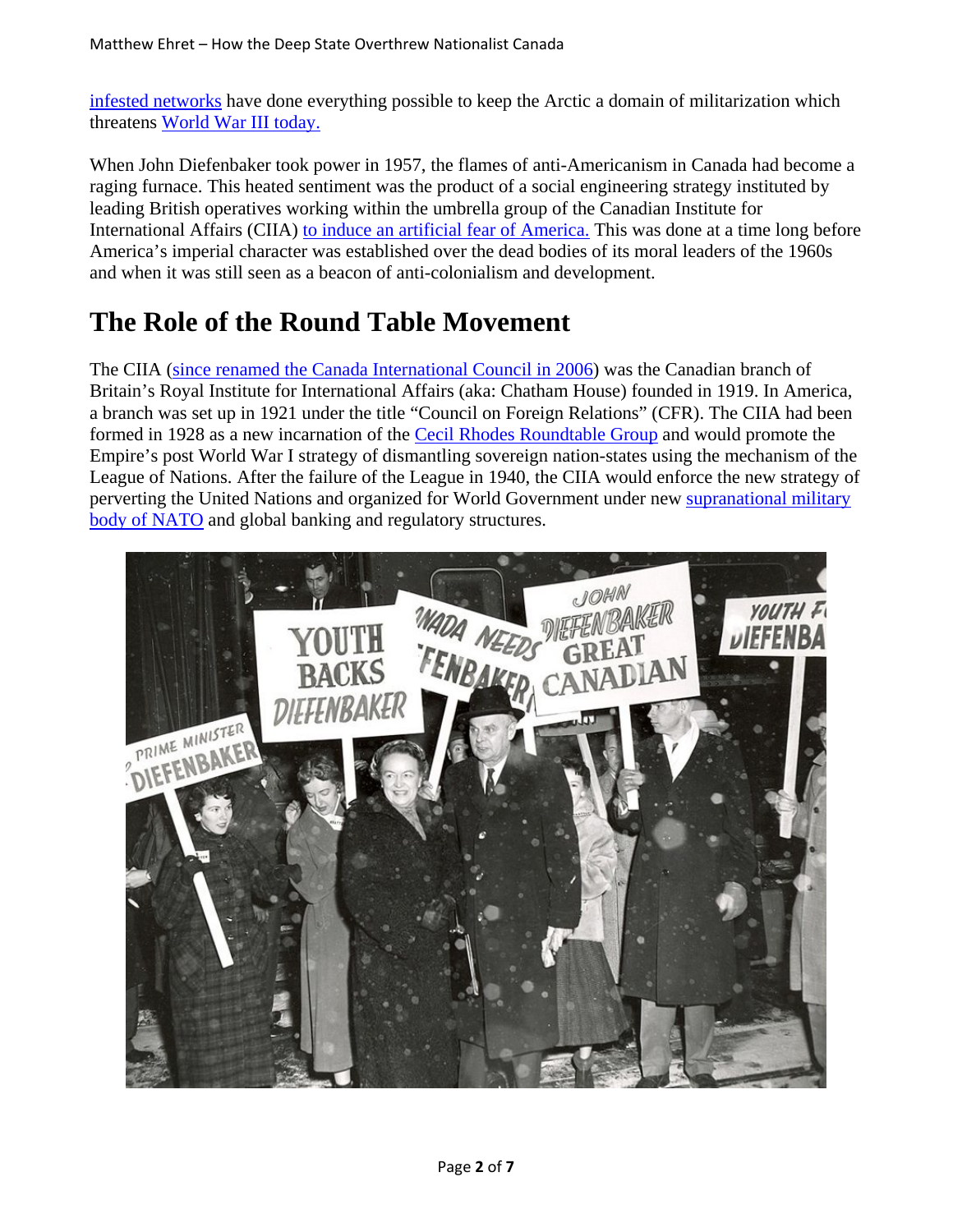infested networks have done everything possible to keep the Arctic a domain of militarization which threatens World War III today.

When John Diefenbaker took power in 1957, the flames of anti-Americanism in Canada had become a raging furnace. This heated sentiment was the product of a social engineering strategy instituted by leading British operatives working within the umbrella group of the Canadian Institute for International Affairs (CIIA) to induce an artificial fear of America. This was done at a time long before America's imperial character was established over the dead bodies of its moral leaders of the 1960s and when it was still seen as a beacon of anti-colonialism and development.

#### **The Role of the Round Table Movement**

The CIIA (since renamed the Canada International Council in 2006) was the Canadian branch of Britain's Royal Institute for International Affairs (aka: Chatham House) founded in 1919. In America, a branch was set up in 1921 under the title "Council on Foreign Relations" (CFR). The CIIA had been formed in 1928 as a new incarnation of the Cecil Rhodes Roundtable Group and would promote the Empire's post World War I strategy of dismantling sovereign nation-states using the mechanism of the League of Nations. After the failure of the League in 1940, the CIIA would enforce the new strategy of perverting the United Nations and organized for World Government under new supranational military body of NATO and global banking and regulatory structures.

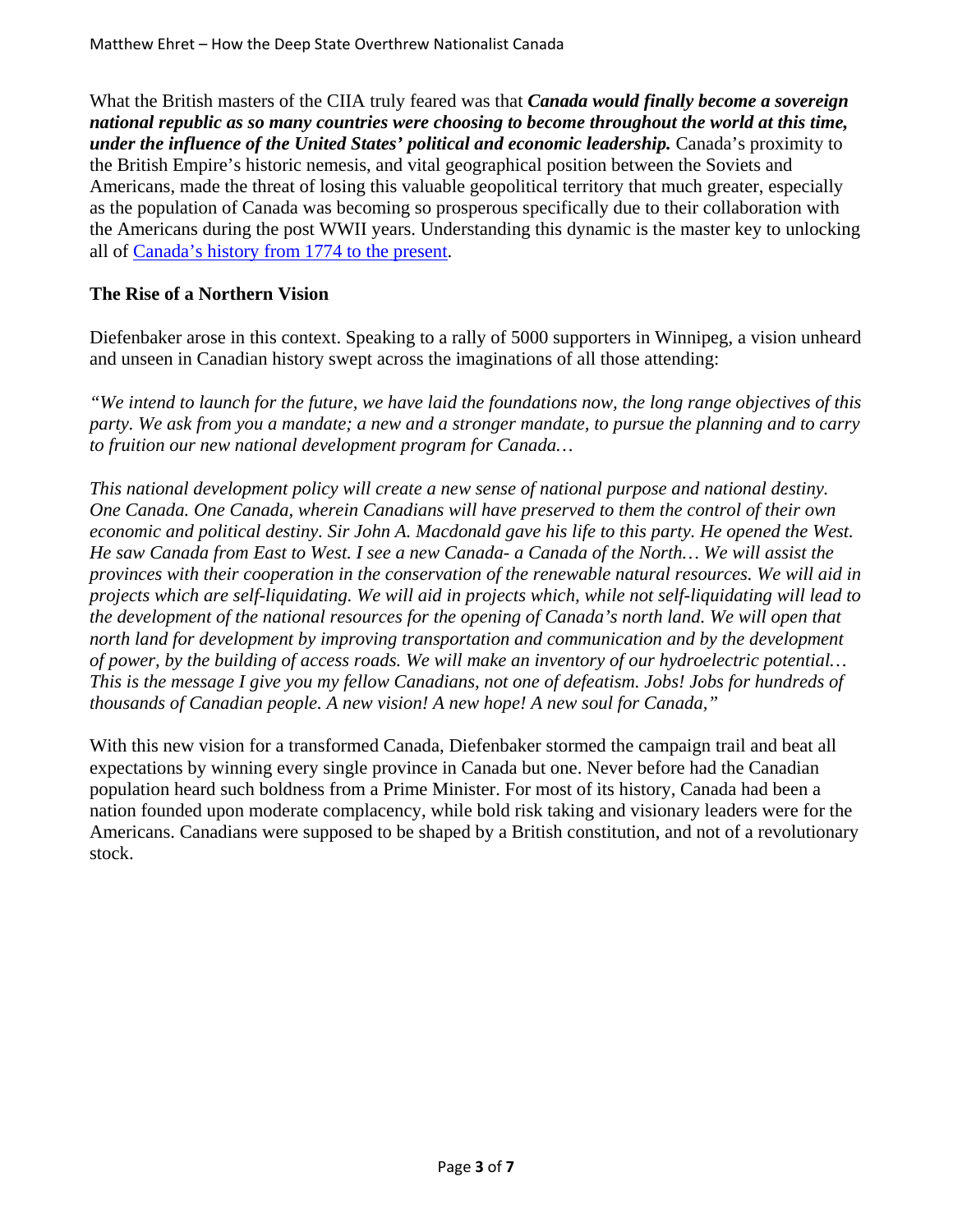What the British masters of the CIIA truly feared was that *Canada would finally become a sovereign national republic as so many countries were choosing to become throughout the world at this time, under the influence of the United States' political and economic leadership.* Canada's proximity to the British Empire's historic nemesis, and vital geographical position between the Soviets and Americans, made the threat of losing this valuable geopolitical territory that much greater, especially as the population of Canada was becoming so prosperous specifically due to their collaboration with the Americans during the post WWII years. Understanding this dynamic is the master key to unlocking all of Canada's history from 1774 to the present.

#### **The Rise of a Northern Vision**

Diefenbaker arose in this context. Speaking to a rally of 5000 supporters in Winnipeg, a vision unheard and unseen in Canadian history swept across the imaginations of all those attending:

*"We intend to launch for the future, we have laid the foundations now, the long range objectives of this party. We ask from you a mandate; a new and a stronger mandate, to pursue the planning and to carry to fruition our new national development program for Canada…*

*This national development policy will create a new sense of national purpose and national destiny. One Canada. One Canada, wherein Canadians will have preserved to them the control of their own economic and political destiny. Sir John A. Macdonald gave his life to this party. He opened the West. He saw Canada from East to West. I see a new Canada- a Canada of the North… We will assist the provinces with their cooperation in the conservation of the renewable natural resources. We will aid in projects which are self-liquidating. We will aid in projects which, while not self-liquidating will lead to the development of the national resources for the opening of Canada's north land. We will open that north land for development by improving transportation and communication and by the development of power, by the building of access roads. We will make an inventory of our hydroelectric potential… This is the message I give you my fellow Canadians, not one of defeatism. Jobs! Jobs for hundreds of thousands of Canadian people. A new vision! A new hope! A new soul for Canada,"*

With this new vision for a transformed Canada, Diefenbaker stormed the campaign trail and beat all expectations by winning every single province in Canada but one. Never before had the Canadian population heard such boldness from a Prime Minister. For most of its history, Canada had been a nation founded upon moderate complacency, while bold risk taking and visionary leaders were for the Americans. Canadians were supposed to be shaped by a British constitution, and not of a revolutionary stock.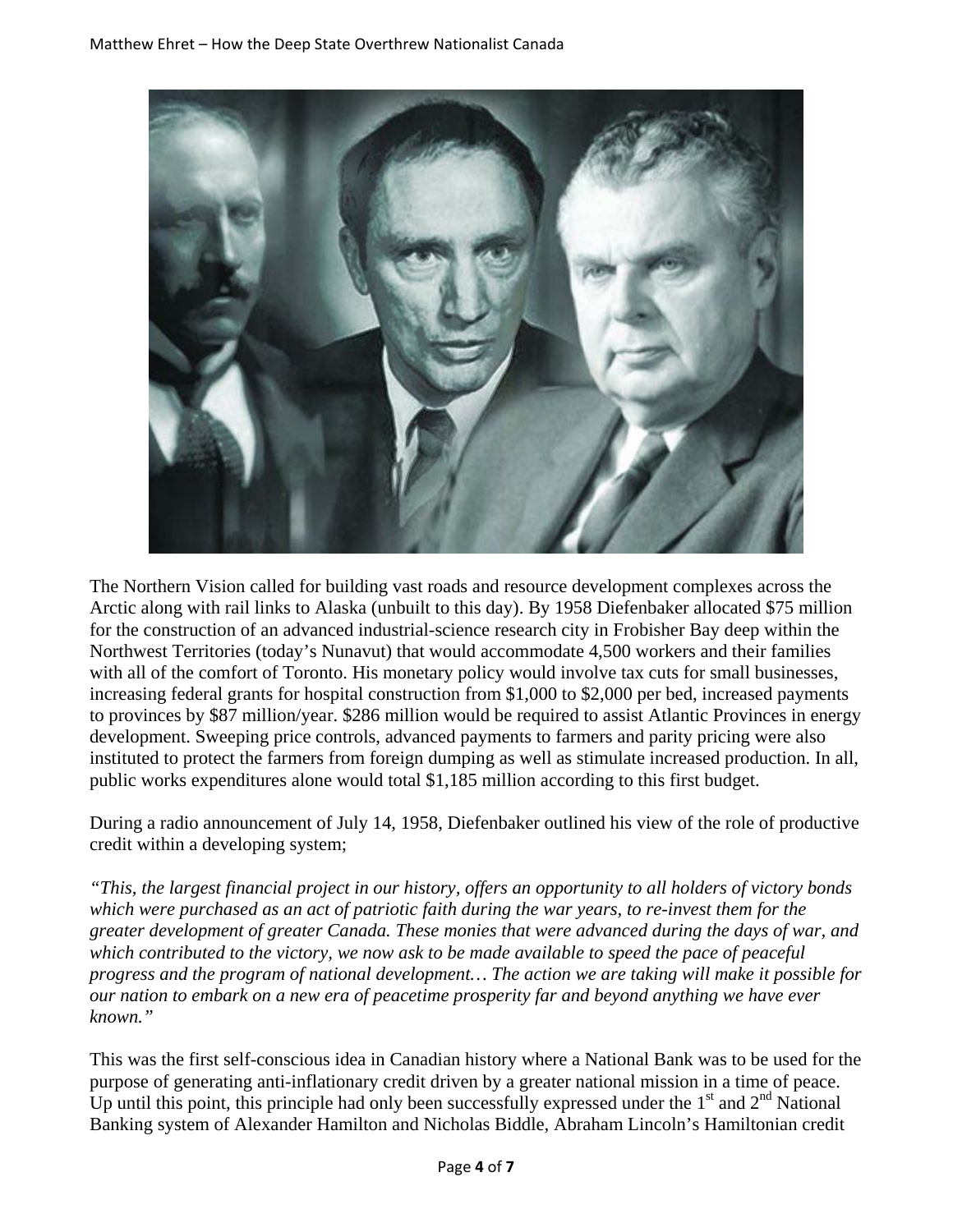

The Northern Vision called for building vast roads and resource development complexes across the Arctic along with rail links to Alaska (unbuilt to this day). By 1958 Diefenbaker allocated \$75 million for the construction of an advanced industrial-science research city in Frobisher Bay deep within the Northwest Territories (today's Nunavut) that would accommodate 4,500 workers and their families with all of the comfort of Toronto. His monetary policy would involve tax cuts for small businesses, increasing federal grants for hospital construction from \$1,000 to \$2,000 per bed, increased payments to provinces by \$87 million/year. \$286 million would be required to assist Atlantic Provinces in energy development. Sweeping price controls, advanced payments to farmers and parity pricing were also instituted to protect the farmers from foreign dumping as well as stimulate increased production. In all, public works expenditures alone would total \$1,185 million according to this first budget.

During a radio announcement of July 14, 1958, Diefenbaker outlined his view of the role of productive credit within a developing system;

*"This, the largest financial project in our history, offers an opportunity to all holders of victory bonds which were purchased as an act of patriotic faith during the war years, to re-invest them for the greater development of greater Canada. These monies that were advanced during the days of war, and which contributed to the victory, we now ask to be made available to speed the pace of peaceful progress and the program of national development… The action we are taking will make it possible for our nation to embark on a new era of peacetime prosperity far and beyond anything we have ever known."*

This was the first self-conscious idea in Canadian history where a National Bank was to be used for the purpose of generating anti-inflationary credit driven by a greater national mission in a time of peace. Up until this point, this principle had only been successfully expressed under the  $1<sup>st</sup>$  and  $2<sup>nd</sup>$  National Banking system of Alexander Hamilton and Nicholas Biddle, Abraham Lincoln's Hamiltonian credit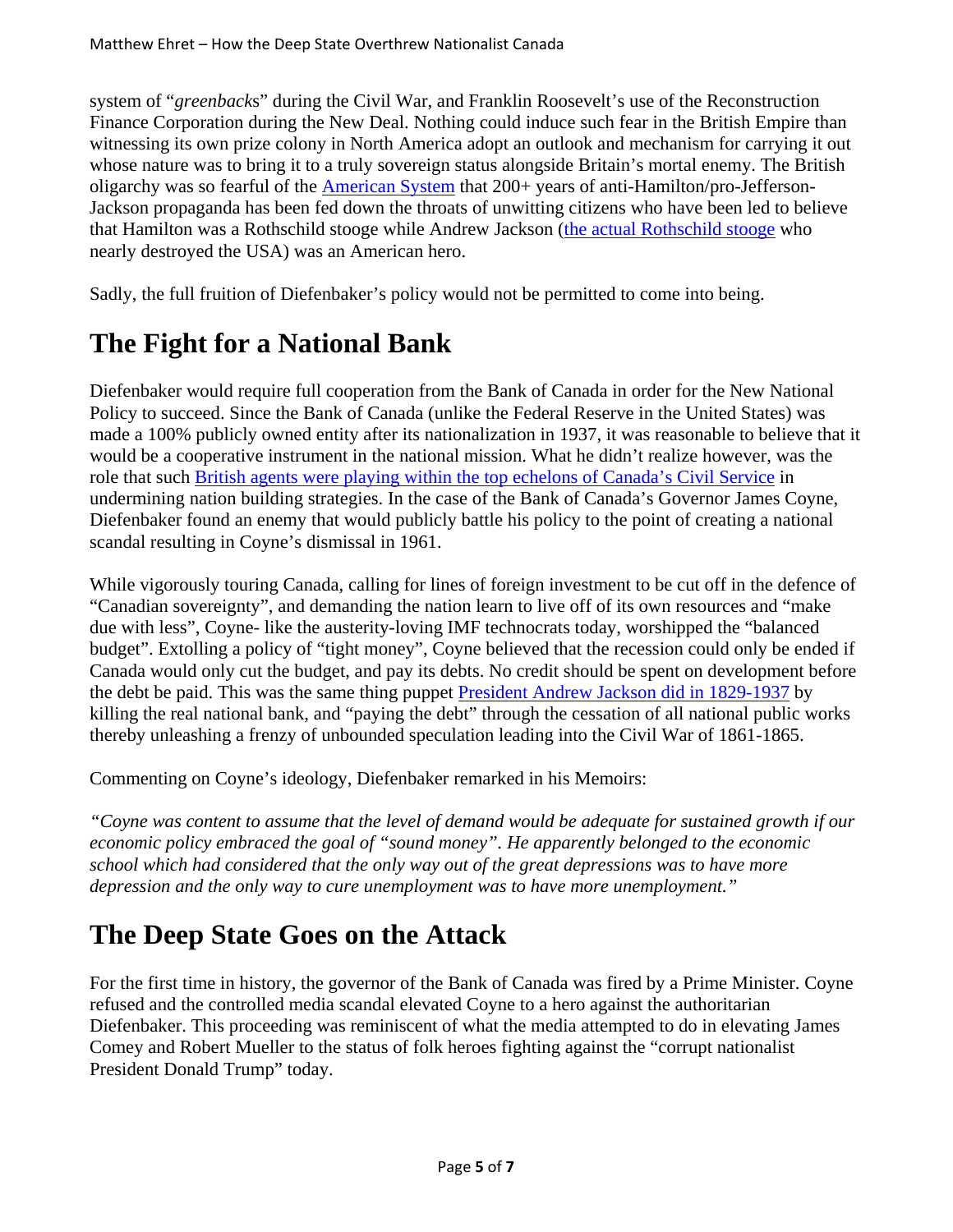system of "*greenback*s" during the Civil War, and Franklin Roosevelt's use of the Reconstruction Finance Corporation during the New Deal. Nothing could induce such fear in the British Empire than witnessing its own prize colony in North America adopt an outlook and mechanism for carrying it out whose nature was to bring it to a truly sovereign status alongside Britain's mortal enemy. The British oligarchy was so fearful of the American System that 200+ years of anti-Hamilton/pro-Jefferson-Jackson propaganda has been fed down the throats of unwitting citizens who have been led to believe that Hamilton was a Rothschild stooge while Andrew Jackson (the actual Rothschild stooge who nearly destroyed the USA) was an American hero.

Sadly, the full fruition of Diefenbaker's policy would not be permitted to come into being.

### **The Fight for a National Bank**

Diefenbaker would require full cooperation from the Bank of Canada in order for the New National Policy to succeed. Since the Bank of Canada (unlike the Federal Reserve in the United States) was made a 100% publicly owned entity after its nationalization in 1937, it was reasonable to believe that it would be a cooperative instrument in the national mission. What he didn't realize however, was the role that such British agents were playing within the top echelons of Canada's Civil Service in undermining nation building strategies. In the case of the Bank of Canada's Governor James Coyne, Diefenbaker found an enemy that would publicly battle his policy to the point of creating a national scandal resulting in Coyne's dismissal in 1961.

While vigorously touring Canada, calling for lines of foreign investment to be cut off in the defence of "Canadian sovereignty", and demanding the nation learn to live off of its own resources and "make due with less", Coyne- like the austerity-loving IMF technocrats today, worshipped the "balanced budget". Extolling a policy of "tight money", Coyne believed that the recession could only be ended if Canada would only cut the budget, and pay its debts. No credit should be spent on development before the debt be paid. This was the same thing puppet President Andrew Jackson did in 1829-1937 by killing the real national bank, and "paying the debt" through the cessation of all national public works thereby unleashing a frenzy of unbounded speculation leading into the Civil War of 1861-1865.

Commenting on Coyne's ideology, Diefenbaker remarked in his Memoirs:

*"Coyne was content to assume that the level of demand would be adequate for sustained growth if our economic policy embraced the goal of "sound money". He apparently belonged to the economic school which had considered that the only way out of the great depressions was to have more depression and the only way to cure unemployment was to have more unemployment."*

#### **The Deep State Goes on the Attack**

For the first time in history, the governor of the Bank of Canada was fired by a Prime Minister. Coyne refused and the controlled media scandal elevated Coyne to a hero against the authoritarian Diefenbaker. This proceeding was reminiscent of what the media attempted to do in elevating James Comey and Robert Mueller to the status of folk heroes fighting against the "corrupt nationalist President Donald Trump" today.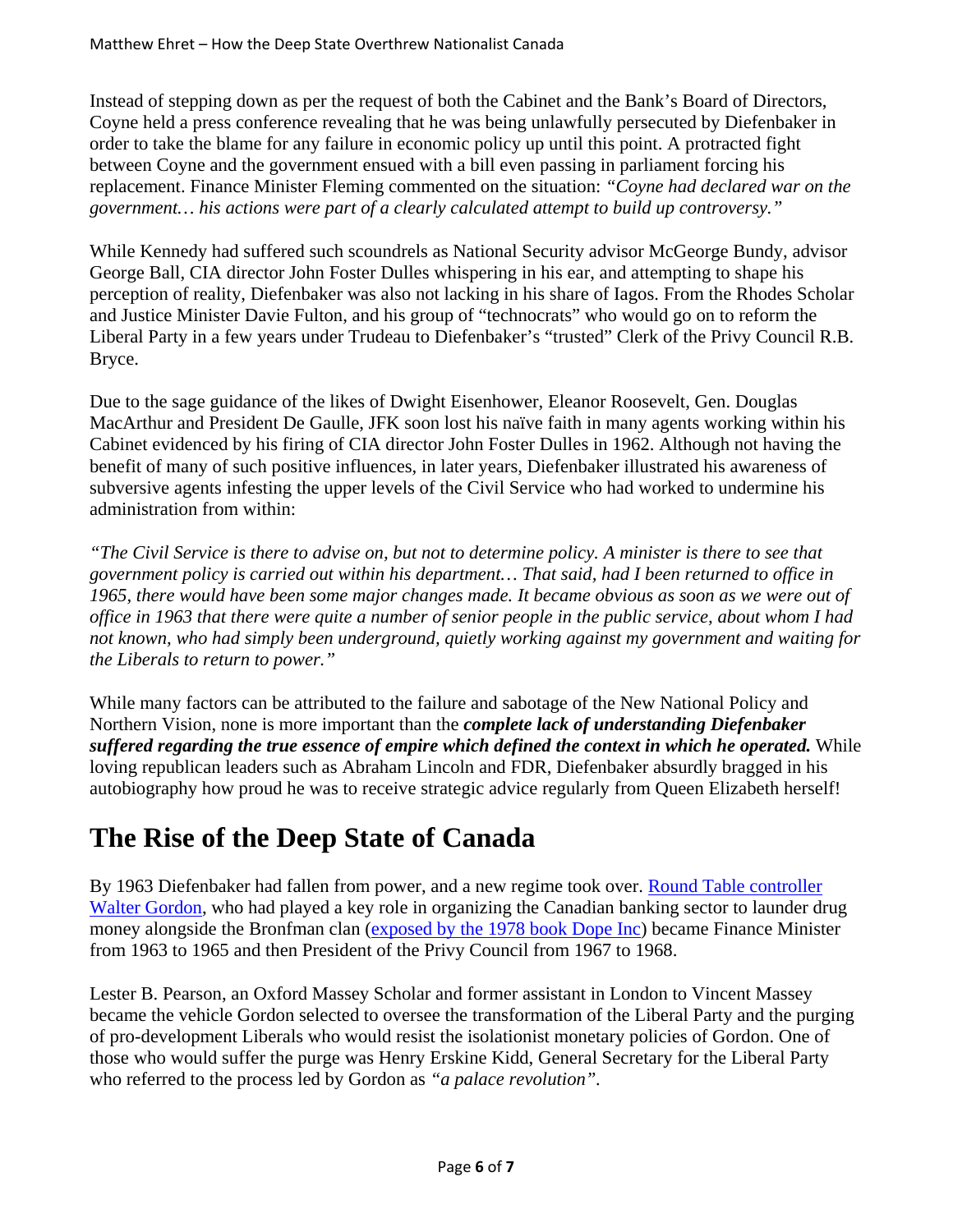Instead of stepping down as per the request of both the Cabinet and the Bank's Board of Directors, Coyne held a press conference revealing that he was being unlawfully persecuted by Diefenbaker in order to take the blame for any failure in economic policy up until this point. A protracted fight between Coyne and the government ensued with a bill even passing in parliament forcing his replacement. Finance Minister Fleming commented on the situation: *"Coyne had declared war on the government… his actions were part of a clearly calculated attempt to build up controversy."*

While Kennedy had suffered such scoundrels as National Security advisor McGeorge Bundy, advisor George Ball, CIA director John Foster Dulles whispering in his ear, and attempting to shape his perception of reality, Diefenbaker was also not lacking in his share of Iagos. From the Rhodes Scholar and Justice Minister Davie Fulton, and his group of "technocrats" who would go on to reform the Liberal Party in a few years under Trudeau to Diefenbaker's "trusted" Clerk of the Privy Council R.B. Bryce.

Due to the sage guidance of the likes of Dwight Eisenhower, Eleanor Roosevelt, Gen. Douglas MacArthur and President De Gaulle, JFK soon lost his naïve faith in many agents working within his Cabinet evidenced by his firing of CIA director John Foster Dulles in 1962. Although not having the benefit of many of such positive influences, in later years, Diefenbaker illustrated his awareness of subversive agents infesting the upper levels of the Civil Service who had worked to undermine his administration from within:

*"The Civil Service is there to advise on, but not to determine policy. A minister is there to see that government policy is carried out within his department… That said, had I been returned to office in 1965, there would have been some major changes made. It became obvious as soon as we were out of office in 1963 that there were quite a number of senior people in the public service, about whom I had not known, who had simply been underground, quietly working against my government and waiting for the Liberals to return to power."*

While many factors can be attributed to the failure and sabotage of the New National Policy and Northern Vision, none is more important than the *complete lack of understanding Diefenbaker suffered regarding the true essence of empire which defined the context in which he operated.* While loving republican leaders such as Abraham Lincoln and FDR, Diefenbaker absurdly bragged in his autobiography how proud he was to receive strategic advice regularly from Queen Elizabeth herself!

## **The Rise of the Deep State of Canada**

By 1963 Diefenbaker had fallen from power, and a new regime took over. Round Table controller Walter Gordon, who had played a key role in organizing the Canadian banking sector to launder drug money alongside the Bronfman clan (exposed by the 1978 book Dope Inc) became Finance Minister from 1963 to 1965 and then President of the Privy Council from 1967 to 1968.

Lester B. Pearson, an Oxford Massey Scholar and former assistant in London to Vincent Massey became the vehicle Gordon selected to oversee the transformation of the Liberal Party and the purging of pro-development Liberals who would resist the isolationist monetary policies of Gordon. One of those who would suffer the purge was Henry Erskine Kidd, General Secretary for the Liberal Party who referred to the process led by Gordon as *"a palace revolution".*